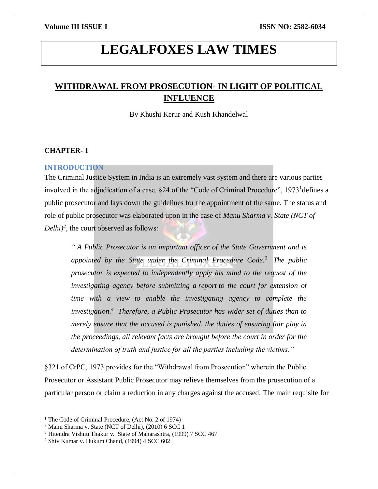# **LEGALFOXES LAW TIMES**

# **WITHDRAWAL FROM PROSECUTION- IN LIGHT OF POLITICAL INFLUENCE**

By Khushi Kerur and Kush Khandelwal

#### **CHAPTER- 1**

#### **INTRODUCTION**

The Criminal Justice System in India is an extremely vast system and there are various parties involved in the adjudication of a case. §24 of the "Code of Criminal Procedure", 1973<sup>1</sup> defines a public prosecutor and lays down the guidelines for the appointment of the same. The status and role of public prosecutor was elaborated upon in the case of *Manu Sharma v. State (NCT of*   $Delhi)^2$ , the court observed as follows:

*" A Public Prosecutor is an important officer of the State Government and is appointed by the State under the Criminal Procedure Code.<sup>3</sup> The public prosecutor is expected to independently apply his mind to the request of the investigating agency before submitting a report to the court for extension of time with a view to enable the investigating agency to complete the investigation.<sup>4</sup> Therefore, a Public Prosecutor has wider set of duties than to merely ensure that the accused is punished, the duties of ensuring fair play in the proceedings, all relevant facts are brought before the court in order for the determination of truth and justice for all the parties including the victims."*

§321 of CrPC, 1973 provides for the "Withdrawal from Prosecution" wherein the Public Prosecutor or Assistant Public Prosecutor may relieve themselves from the prosecution of a particular person or claim a reduction in any charges against the accused. The main requisite for

<sup>&</sup>lt;sup>1</sup> The Code of Criminal Procedure, (Act No. 2 of 1974)

<sup>2</sup> Manu Sharma v. State (NCT of Delhi), (2010) 6 SCC 1

<sup>3</sup> Hitendra Vishnu Thakur v. State of Maharashtra, (1999) 7 SCC 467

<sup>4</sup> Shiv Kumar v. Hukum Chand, (1994) 4 SCC 602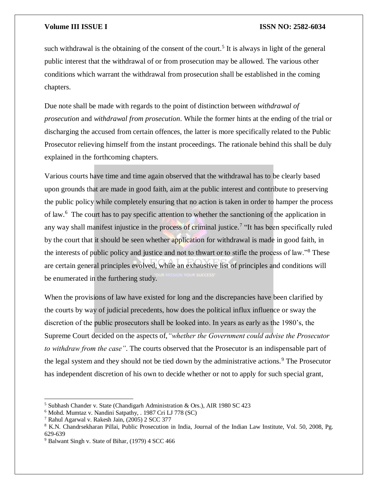such withdrawal is the obtaining of the consent of the court.<sup>5</sup> It is always in light of the general public interest that the withdrawal of or from prosecution may be allowed. The various other conditions which warrant the withdrawal from prosecution shall be established in the coming chapters.

Due note shall be made with regards to the point of distinction between *withdrawal of prosecution* and *withdrawal from prosecution*. While the former hints at the ending of the trial or discharging the accused from certain offences, the latter is more specifically related to the Public Prosecutor relieving himself from the instant proceedings. The rationale behind this shall be duly explained in the forthcoming chapters.

Various courts have time and time again observed that the withdrawal has to be clearly based upon grounds that are made in good faith, aim at the public interest and contribute to preserving the public policy while completely ensuring that no action is taken in order to hamper the process of law.<sup>6</sup> The court has to pay specific attention to whether the sanctioning of the application in any way shall manifest injustice in the process of criminal justice.<sup>7</sup> "It has been specifically ruled by the court that it should be seen whether application for withdrawal is made in good faith, in the interests of public policy and justice and not to thwart or to stifle the process of law."<sup>8</sup> These are certain general principles evolved, while an exhaustive list of principles and conditions will be enumerated in the furthering study.

When the provisions of law have existed for long and the discrepancies have been clarified by the courts by way of judicial precedents, how does the political influx influence or sway the discretion of the public prosecutors shall be looked into. In years as early as the 1980's, the Supreme Court decided on the aspects of,*"whether the Government could advise the Prosecutor to withdraw from the case"*. The courts observed that the Prosecutor is an indispensable part of the legal system and they should not be tied down by the administrative actions.<sup>9</sup> The Prosecutor has independent discretion of his own to decide whether or not to apply for such special grant,

<sup>5</sup> Subhash Chander v. State (Chandigarh Administration & Ors.), AIR 1980 SC 423

<sup>6</sup> Mohd. Mumtaz v. Nandini Satpathy, . 1987 Cri LJ 778 (SC)

<sup>7</sup> Rahul Agarwal v. Rakesh Jain, (2005) 2 SCC 377

<sup>8</sup> K.N. Chandrsekharan Pillai, Public Prosecution in India, Journal of the Indian Law Institute, Vol. 50, 2008, Pg. 629-639

<sup>9</sup> Balwant Singh v. State of Bihar, (1979) 4 SCC 466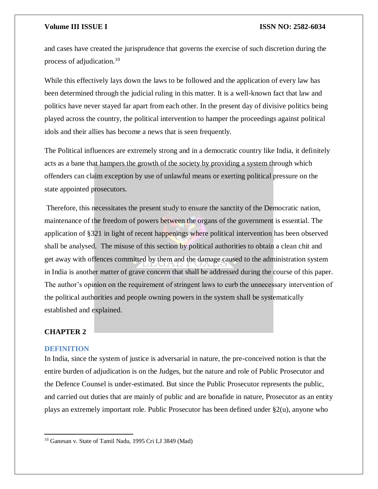and cases have created the jurisprudence that governs the exercise of such discretion during the process of adjudication.<sup>10</sup>

While this effectively lays down the laws to be followed and the application of every law has been determined through the judicial ruling in this matter. It is a well-known fact that law and politics have never stayed far apart from each other. In the present day of divisive politics being played across the country, the political intervention to hamper the proceedings against political idols and their allies has become a news that is seen frequently.

The Political influences are extremely strong and in a democratic country like India, it definitely acts as a bane that hampers the growth of the society by providing a system through which offenders can claim exception by use of unlawful means or exerting political pressure on the state appointed prosecutors.

Therefore, this necessitates the present study to ensure the sanctity of the Democratic nation, maintenance of the freedom of powers between the organs of the government is essential. The application of §321 in light of recent happenings where political intervention has been observed shall be analysed. The misuse of this section by political authorities to obtain a clean chit and get away with offences committed by them and the damage caused to the administration system in India is another matter of grave concern that shall be addressed during the course of this paper. The author's opinion on the requirement of stringent laws to curb the unnecessary intervention of the political authorities and people owning powers in the system shall be systematically established and explained.

#### **CHAPTER 2**

#### **DEFINITION**

 $\overline{a}$ 

In India, since the system of justice is adversarial in nature, the pre-conceived notion is that the entire burden of adjudication is on the Judges, but the nature and role of Public Prosecutor and the Defence Counsel is under-estimated. But since the Public Prosecutor represents the public, and carried out duties that are mainly of public and are bonafide in nature, Prosecutor as an entity plays an extremely important role. Public Prosecutor has been defined under §2(u), anyone who

<sup>10</sup> Ganesan v. State of Tamil Nadu, 1995 Cri LJ 3849 (Mad)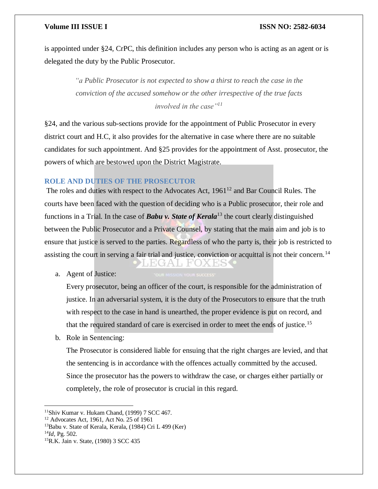is appointed under §24, CrPC, this definition includes any person who is acting as an agent or is delegated the duty by the Public Prosecutor.

> *"a Public Prosecutor is not expected to show a thirst to reach the case in the conviction of the accused somehow or the other irrespective of the true facts involved in the case"<sup>11</sup>*

§24, and the various sub-sections provide for the appointment of Public Prosecutor in every district court and H.C, it also provides for the alternative in case where there are no suitable candidates for such appointment. And §25 provides for the appointment of Asst. prosecutor, the powers of which are bestowed upon the District Magistrate.

### **ROLE AND DUTIES OF THE PROSECUTOR**

The roles and duties with respect to the Advocates Act,  $1961<sup>12</sup>$  and Bar Council Rules. The courts have been faced with the question of deciding who is a Public prosecutor, their role and functions in a Trial. In the case of *Babu v. State of Kerala*<sup>13</sup> the court clearly distinguished between the Public Prosecutor and a Private Counsel, by stating that the main aim and job is to ensure that justice is served to the parties. Regardless of who the party is, their job is restricted to assisting the court in serving a fair trial and justice, conviction or acquittal is not their concern.<sup>14</sup> TEGAT FOX ES

a. Agent of Justice:

Every prosecutor, being an officer of the court, is responsible for the administration of justice. In an adversarial system, it is the duty of the Prosecutors to ensure that the truth with respect to the case in hand is unearthed, the proper evidence is put on record, and that the required standard of care is exercised in order to meet the ends of justice.<sup>15</sup>

b. Role in Sentencing:

The Prosecutor is considered liable for ensuing that the right charges are levied, and that the sentencing is in accordance with the offences actually committed by the accused. Since the prosecutor has the powers to withdraw the case, or charges either partially or completely, the role of prosecutor is crucial in this regard.

<sup>14</sup>*Id,* Pg. 502.

<sup>11</sup>Shiv Kumar v. Hukam Chand, (1999) 7 SCC 467.

<sup>12</sup> Advocates Act, 1961, Act No. 25 of 1961

<sup>13</sup>Babu v. State of Kerala, Kerala, (1984) Cri L 499 (Ker)

<sup>15</sup>R.K. Jain v. State, (1980) 3 SCC 435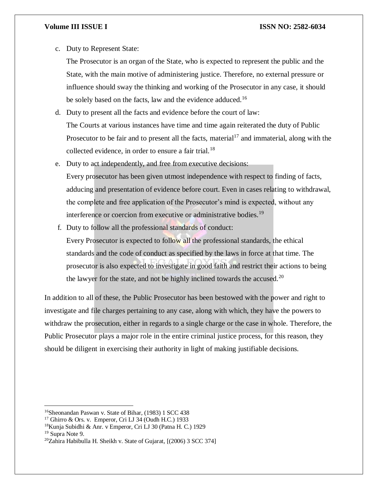c. Duty to Represent State:

The Prosecutor is an organ of the State, who is expected to represent the public and the State, with the main motive of administering justice. Therefore, no external pressure or influence should sway the thinking and working of the Prosecutor in any case, it should be solely based on the facts, law and the evidence adduced.<sup>16</sup>

- d. Duty to present all the facts and evidence before the court of law: The Courts at various instances have time and time again reiterated the duty of Public Prosecutor to be fair and to present all the facts, material<sup>17</sup> and immaterial, along with the collected evidence, in order to ensure a fair trial.<sup>18</sup>
- e. Duty to act independently, and free from executive decisions: Every prosecutor has been given utmost independence with respect to finding of facts, adducing and presentation of evidence before court. Even in cases relating to withdrawal, the complete and free application of the Prosecutor's mind is expected, without any interference or coercion from executive or administrative bodies.<sup>19</sup>
- f. Duty to follow all the professional standards of conduct: Every Prosecutor is expected to follow all the professional standards, the ethical standards and the code of conduct as specified by the laws in force at that time. The prosecutor is also expected to investigate in good faith and restrict their actions to being the lawyer for the state, and not be highly inclined towards the accused.<sup>20</sup>

In addition to all of these, the Public Prosecutor has been bestowed with the power and right to investigate and file charges pertaining to any case, along with which, they have the powers to withdraw the prosecution, either in regards to a single charge or the case in whole. Therefore, the Public Prosecutor plays a major role in the entire criminal justice process, for this reason, they should be diligent in exercising their authority in light of making justifiable decisions.

<sup>19</sup> Supra Note 9.

<sup>16</sup>Sheonandan Paswan v. State of Bihar, (1983) 1 SCC 438

<sup>17</sup> Ghirro & Ors. v. Emperor, Cri LJ 34 (Oudh H.C.) 1933

<sup>18</sup>Kunja Subidhi & Anr. v Emperor, Cri LJ 30 (Patna H. C.) 1929

 $20$ Zahira Habibulla H. Sheikh v. State of Gujarat, [(2006) 3 SCC 374]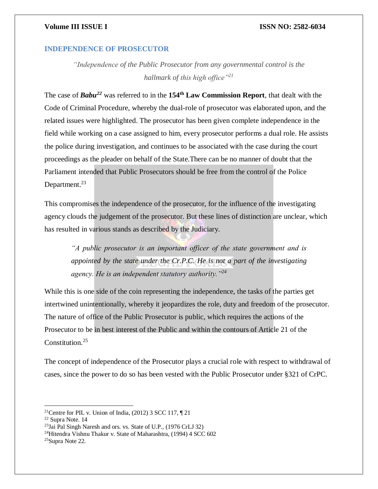#### **INDEPENDENCE OF PROSECUTOR**

*"Independence of the Public Prosecutor from any governmental control is the hallmark of this high office"<sup>21</sup>*

The case of *Babu<sup>22</sup>* was referred to in the **154th Law Commission Report**, that dealt with the Code of Criminal Procedure, whereby the dual-role of prosecutor was elaborated upon, and the related issues were highlighted. The prosecutor has been given complete independence in the field while working on a case assigned to him, every prosecutor performs a dual role. He assists the police during investigation, and continues to be associated with the case during the court proceedings as the pleader on behalf of the State.There can be no manner of doubt that the Parliament intended that Public Prosecutors should be free from the control of the Police Department.<sup>23</sup>

This compromises the independence of the prosecutor, for the influence of the investigating agency clouds the judgement of the prosecutor. But these lines of distinction are unclear, which has resulted in various stands as described by the Judiciary.

*"A public prosecutor is an important officer of the state government and is appointed by the state under the Cr.P.C. He is not a part of the investigating agency. He is an independent statutory authority."<sup>24</sup>*

While this is one side of the coin representing the independence, the tasks of the parties get intertwined unintentionally, whereby it jeopardizes the role, duty and freedom of the prosecutor. The nature of office of the Public Prosecutor is public, which requires the actions of the Prosecutor to be in best interest of the Public and within the contours of Article 21 of the Constitution.<sup>25</sup>

The concept of independence of the Prosecutor plays a crucial role with respect to withdrawal of cases, since the power to do so has been vested with the Public Prosecutor under §321 of CrPC.

<sup>&</sup>lt;sup>21</sup>Centre for PIL v. Union of India,  $(2012)$  3 SCC 117,  $\P$  21

<sup>22</sup> Supra Note. 14

 $^{23}$ Jai Pal Singh Naresh and ors. vs. State of U.P., (1976 CrLJ 32)

<sup>24</sup>Hitendra Vishnu Thakur v. State of Maharashtra, (1994) 4 SCC 602

<sup>25</sup>Supra Note 22.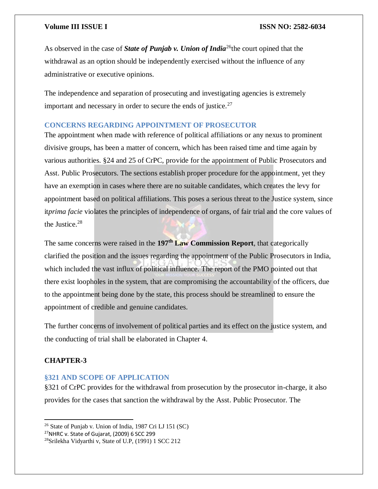As observed in the case of **State of Punjab v. Union of India**<sup>26</sup>the court opined that the withdrawal as an option should be independently exercised without the influence of any administrative or executive opinions.

The independence and separation of prosecuting and investigating agencies is extremely important and necessary in order to secure the ends of justice. $27$ 

### **CONCERNS REGARDING APPOINTMENT OF PROSECUTOR**

The appointment when made with reference of political affiliations or any nexus to prominent divisive groups, has been a matter of concern, which has been raised time and time again by various authorities. §24 and 25 of CrPC, provide for the appointment of Public Prosecutors and Asst. Public Prosecutors. The sections establish proper procedure for the appointment, yet they have an exemption in cases where there are no suitable candidates, which creates the levy for appointment based on political affiliations. This poses a serious threat to the Justice system, since it*prima facie* violates the principles of independence of organs, of fair trial and the core values of the Justice.<sup>28</sup>

The same concerns were raised in the **197th Law Commission Report**, that categorically clarified the position and the issues regarding the appointment of the Public Prosecutors in India, which included the vast influx of political influence. The report of the PMO pointed out that there exist loopholes in the system, that are compromising the accountability of the officers, due to the appointment being done by the state, this process should be streamlined to ensure the appointment of credible and genuine candidates.

The further concerns of involvement of political parties and its effect on the justice system, and the conducting of trial shall be elaborated in Chapter 4.

### **CHAPTER-3**

 $\overline{a}$ 

### **§321 AND SCOPE OF APPLICATION**

§321 of CrPC provides for the withdrawal from prosecution by the prosecutor in-charge, it also provides for the cases that sanction the withdrawal by the Asst. Public Prosecutor. The

<sup>26</sup> State of Punjab v. Union of India, 1987 Cri LJ 151 (SC)

 $27$ NHRC v. State of Gujarat, (2009) 6 SCC 299

<sup>28</sup>Srilekha Vidyarthi v, State of U.P, (1991) 1 SCC 212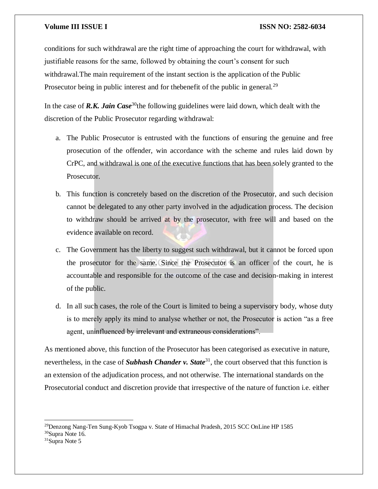conditions for such withdrawal are the right time of approaching the court for withdrawal, with justifiable reasons for the same, followed by obtaining the court's consent for such withdrawal.The main requirement of the instant section is the application of the Public Prosecutor being in public interest and for the benefit of the public in general.<sup>29</sup>

In the case of **R.K. Jain Case**<sup>30</sup>the following guidelines were laid down, which dealt with the discretion of the Public Prosecutor regarding withdrawal:

- a. The Public Prosecutor is entrusted with the functions of ensuring the genuine and free prosecution of the offender, win accordance with the scheme and rules laid down by CrPC, and withdrawal is one of the executive functions that has been solely granted to the Prosecutor.
- b. This function is concretely based on the discretion of the Prosecutor, and such decision cannot be delegated to any other party involved in the adjudication process. The decision to withdraw should be arrived at by the prosecutor, with free will and based on the evidence available on record.
- c. The Government has the liberty to suggest such withdrawal, but it cannot be forced upon the prosecutor for the same. Since the Prosecutor is an officer of the court, he is accountable and responsible for the outcome of the case and decision-making in interest of the public.
- d. In all such cases, the role of the Court is limited to being a supervisory body, whose duty is to merely apply its mind to analyse whether or not, the Prosecutor is action "as a free agent, uninfluenced by irrelevant and extraneous considerations".

As mentioned above, this function of the Prosecutor has been categorised as executive in nature, nevertheless, in the case of **Subhash Chander v. State**<sup>31</sup>, the court observed that this function is an extension of the adjudication process, and not otherwise. The international standards on the Prosecutorial conduct and discretion provide that irrespective of the nature of function i.e. either

<sup>29</sup>Denzong Nang-Ten Sung-Kyob Tsogpa v. State of Himachal Pradesh, 2015 SCC OnLine HP 1585

<sup>30</sup>Supra Note 16.

<sup>31</sup>Supra Note 5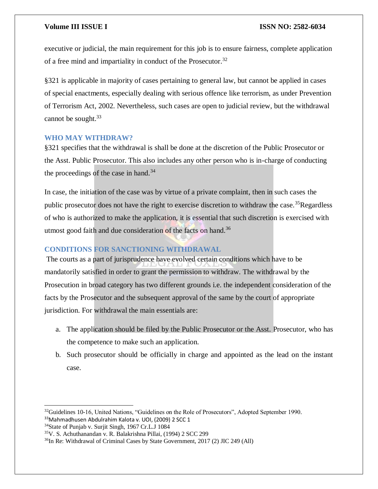executive or judicial, the main requirement for this job is to ensure fairness, complete application of a free mind and impartiality in conduct of the Prosecutor.<sup>32</sup>

§321 is applicable in majority of cases pertaining to general law, but cannot be applied in cases of special enactments, especially dealing with serious offence like terrorism, as under Prevention of Terrorism Act, 2002. Nevertheless, such cases are open to judicial review, but the withdrawal cannot be sought. $33$ 

### **WHO MAY WITHDRAW?**

§321 specifies that the withdrawal is shall be done at the discretion of the Public Prosecutor or the Asst. Public Prosecutor. This also includes any other person who is in-charge of conducting the proceedings of the case in hand. $34$ 

In case, the initiation of the case was by virtue of a private complaint, then in such cases the public prosecutor does not have the right to exercise discretion to withdraw the case.<sup>35</sup>Regardless of who is authorized to make the application, it is essential that such discretion is exercised with utmost good faith and due consideration of the facts on hand.<sup>36</sup>

### **CONDITIONS FOR SANCTIONING WITHDRAWAL**

The courts as a part of jurisprudence have evolved certain conditions which have to be mandatorily satisfied in order to grant the permission to withdraw. The withdrawal by the Prosecution in broad category has two different grounds i.e. the independent consideration of the facts by the Prosecutor and the subsequent approval of the same by the court of appropriate jurisdiction. For withdrawal the main essentials are:

- a. The application should be filed by the Public Prosecutor or the Asst. Prosecutor, who has the competence to make such an application.
- b. Such prosecutor should be officially in charge and appointed as the lead on the instant case.

 $32$ Guidelines 10-16, United Nations, "Guidelines on the Role of Prosecutors", Adopted September 1990. 33Mahmadhusen Abdulrahim Kalota v. UOI, (2009) 2 SCC 1

<sup>&</sup>lt;sup>34</sup>State of Punjab v. Surjit Singh, 1967 Cr.L.J 1084

<sup>35</sup>V. S. Achuthanandan v. R. Balakrishna Pillai, (1994) 2 SCC 299

<sup>&</sup>lt;sup>36</sup>In Re: Withdrawal of Criminal Cases by State Government, 2017 (2) JIC 249 (All)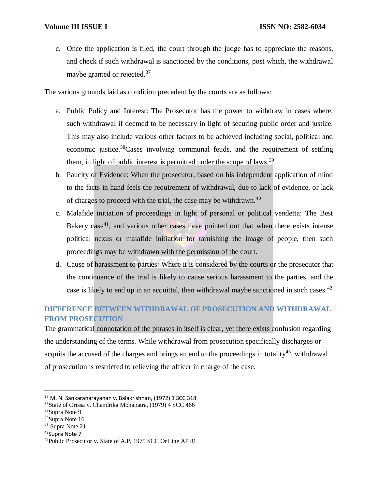c. Once the application is filed, the court through the judge has to appreciate the reasons, and check if such withdrawal is sanctioned by the conditions, post which, the withdrawal maybe granted or rejected.<sup>37</sup>

The various grounds laid as condition precedent by the courts are as follows:

- a. Public Policy and Interest: The Prosecutor has the power to withdraw in cases where, such withdrawal if deemed to be necessary in light of securing public order and justice. This may also include various other factors to be achieved including social, political and economic justice.<sup>38</sup>Cases involving communal feuds, and the requirement of settling them, in light of public interest is permitted under the scope of laws.<sup>39</sup>
- b. Paucity of Evidence: When the prosecutor, based on his independent application of mind to the facts in hand feels the requirement of withdrawal, due to lack of evidence, or lack of charges to proceed with the trial, the case may be withdrawn.<sup>40</sup>
- c. Malafide initiation of proceedings in light of personal or political vendetta: The Best Bakery case<sup>41</sup>, and various other cases have pointed out that when there exists intense political nexus or malafide initiation for tarnishing the image of people, then such proceedings may be withdrawn with the permission of the court.
- d. Cause of harassment to parties: Where it is considered by the courts or the prosecutor that the continuance of the trial is likely to cause serious harassment to the parties, and the case is likely to end up in an acquittal, then withdrawal maybe sanctioned in such cases.<sup>42</sup>

# **DIFFERENCE BETWEEN WITHDRAWAL OF PROSECUTION AND WITHDRAWAL FROM PROSECUTION**

The grammatical connotation of the phrases in itself is clear, yet there exists confusion regarding the understanding of the terms. While withdrawal from prosecution specifically discharges or acquits the accused of the charges and brings an end to the proceedings in totality<sup>43</sup>, withdrawal of prosecution is restricted to relieving the officer in charge of the case.

 $\overline{\phantom{a}}$ 

<sup>42</sup>Supra Note 7

<sup>&</sup>lt;sup>37</sup> M. N. Sankaranarayanan v. Balakrishnan, (1972) 1 SCC 318

<sup>38</sup>State of Orissa v. Chandrika Mohapatra, (1979) 4 SCC 466

<sup>39</sup>Supra Note 9

<sup>40</sup>Supra Note 16

<sup>41</sup> Supra Note 21

<sup>43</sup>Public Prosecutor v. State of A.P, 1975 SCC OnLine AP 81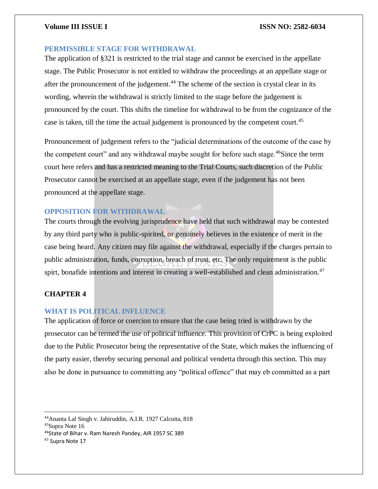### **PERMISSIBLE STAGE FOR WITHDRAWAL**

The application of §321 is restricted to the trial stage and cannot be exercised in the appellate stage. The Public Prosecutor is not entitled to withdraw the proceedings at an appellate stage or after the pronouncement of the judgement.<sup>44</sup> The scheme of the section is crystal clear in its wording, wherein the withdrawal is strictly limited to the stage before the judgement is pronounced by the court. This shifts the timeline for withdrawal to be from the cognizance of the case is taken, till the time the actual judgement is pronounced by the competent court.<sup>45</sup>

Pronouncement of judgement refers to the "judicial determinations of the outcome of the case by the competent court" and any withdrawal maybe sought for before such stage.<sup>46</sup>Since the term court here refers and has a restricted meaning to the Trial Courts, such discretion of the Public Prosecutor cannot be exercised at an appellate stage, even if the judgement has not been pronounced at the appellate stage.

## **OPPOSITION FOR WITHDRAWAL**

The courts through the evolving jurisprudence have held that such withdrawal may be contested by any third party who is public-spirited, or genuinely believes in the existence of merit in the case being heard. Any citizen may file against the withdrawal, especially if the charges pertain to public administration, funds, corruption, breach of trust, etc. The only requirement is the public spirt, bonafide intentions and interest in creating a well-established and clean administration.<sup>47</sup>

### **CHAPTER 4**

#### **WHAT IS POLITICAL INFLUENCE**

The application of force or coercion to ensure that the case being tried is withdrawn by the prosecutor can be termed the use of political influence. This provision of CrPC is being exploited due to the Public Prosecutor being the representative of the State, which makes the influencing of the party easier, thereby securing personal and political vendetta through this section. This may also be done in pursuance to committing any "political offence" that may eb committed as a part

<sup>44</sup>Ananta Lal Singh v. Jahiruddin, A.I.R. 1927 Calcutta, 818 <sup>45</sup>Supra Note 16

<sup>46</sup>State of Bihar v. Ram Naresh Pandey, AIR 1957 SC 389

<sup>47</sup> Supra Note 17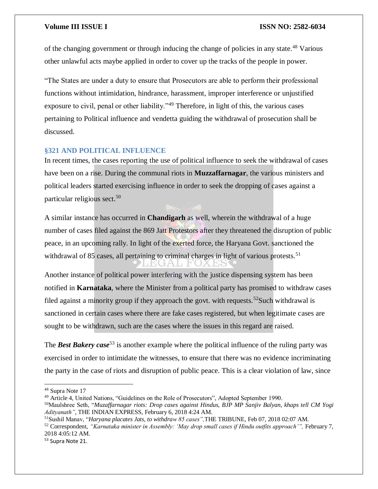of the changing government or through inducing the change of policies in any state.<sup>48</sup> Various other unlawful acts maybe applied in order to cover up the tracks of the people in power.

"The States are under a duty to ensure that Prosecutors are able to perform their professional functions without intimidation, hindrance, harassment, improper interference or unjustified exposure to civil, penal or other liability."<sup>49</sup> Therefore, in light of this, the various cases pertaining to Political influence and vendetta guiding the withdrawal of prosecution shall be discussed.

### **§321 AND POLITICAL INFLUENCE**

In recent times, the cases reporting the use of political influence to seek the withdrawal of cases have been on a rise. During the communal riots in **Muzzaffarnagar**, the various ministers and political leaders started exercising influence in order to seek the dropping of cases against a particular religious sect.<sup>50</sup>

A similar instance has occurred in **Chandigarh** as well, wherein the withdrawal of a huge number of cases filed against the 869 Jatt Protestors after they threatened the disruption of public peace, in an upcoming rally. In light of the exerted force, the Haryana Govt. sanctioned the withdrawal of  $85$  cases, all pertaining to criminal charges in light of various protests.<sup>51</sup>

Another instance of political power interfering with the justice dispensing system has been notified in **Karnataka**, where the Minister from a political party has promised to withdraw cases filed against a minority group if they approach the govt. with requests.<sup>52</sup>Such withdrawal is sanctioned in certain cases where there are fake cases registered, but when legitimate cases are sought to be withdrawn, such are the cases where the issues in this regard are raised.

The **Best Bakery case**<sup>53</sup> is another example where the political influence of the ruling party was exercised in order to intimidate the witnesses, to ensure that there was no evidence incriminating the party in the case of riots and disruption of public peace. This is a clear violation of law, since

<sup>48</sup> Supra Note 17

<sup>&</sup>lt;sup>49</sup> Article 4. United Nations, "Guidelines on the Role of Prosecutors", Adopted September 1990.

<sup>50</sup>Maulshree Seth, "*Muzaffarnagar riots: Drop cases against Hindus, BJP MP Sanjiv Balyan, khaps tell CM Yogi Adityanath"*, THE INDIAN EXPRESS, February 6, 2018 4:24 AM.

<sup>51</sup>Sushil Manav, "*Haryana placates Jats, to withdraw 85 cases",*THE TRIBUNE, Feb 07, 2018 02:07 AM.

<sup>52</sup> Correspondent, *"Karnataka minister in Assembly: 'May drop small cases if Hindu outfits approach'",* February 7, 2018 4:05:12 AM.

<sup>53</sup> Supra Note 21.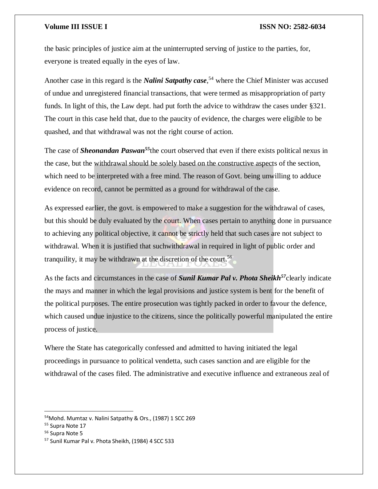the basic principles of justice aim at the uninterrupted serving of justice to the parties, for, everyone is treated equally in the eyes of law.

Another case in this regard is the *Nalini Satpathy case*, <sup>54</sup> where the Chief Minister was accused of undue and unregistered financial transactions, that were termed as misappropriation of party funds. In light of this, the Law dept. had put forth the advice to withdraw the cases under §321. The court in this case held that, due to the paucity of evidence, the charges were eligible to be quashed, and that withdrawal was not the right course of action.

The case of *Sheonandan Paswan<sup>55</sup>*the court observed that even if there exists political nexus in the case, but the withdrawal should be solely based on the constructive aspects of the section, which need to be interpreted with a free mind. The reason of Govt. being unwilling to adduce evidence on record, cannot be permitted as a ground for withdrawal of the case.

As expressed earlier, the govt. is empowered to make a suggestion for the withdrawal of cases, but this should be duly evaluated by the court. When cases pertain to anything done in pursuance to achieving any political objective, it cannot be strictly held that such cases are not subject to withdrawal. When it is justified that such withdrawal in required in light of public order and tranquility, it may be withdrawn at the discretion of the court.<sup>56</sup>

As the facts and circumstances in the case of *Sunil Kumar Pal v. Phota Sheikh<sup>57</sup>*clearly indicate the mays and manner in which the legal provisions and justice system is bent for the benefit of the political purposes. The entire prosecution was tightly packed in order to favour the defence, which caused undue injustice to the citizens, since the politically powerful manipulated the entire process of justice.

Where the State has categorically confessed and admitted to having initiated the legal proceedings in pursuance to political vendetta, such cases sanction and are eligible for the withdrawal of the cases filed. The administrative and executive influence and extraneous zeal of

<sup>&</sup>lt;sup>54</sup>Mohd. Mumtaz v. Nalini Satpathy & Ors., (1987) 1 SCC 269

<sup>55</sup> Supra Note 17

<sup>56</sup> Supra Note 5

<sup>57</sup> Sunil Kumar Pal v. Phota Sheikh, (1984) 4 SCC 533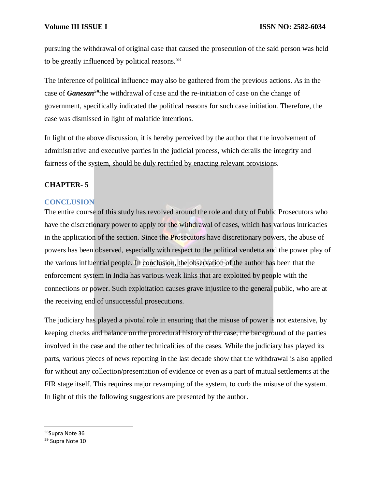pursuing the withdrawal of original case that caused the prosecution of the said person was held to be greatly influenced by political reasons.<sup>58</sup>

The inference of political influence may also be gathered from the previous actions. As in the case of *Ganesan<sup>59</sup>*the withdrawal of case and the re-initiation of case on the change of government, specifically indicated the political reasons for such case initiation. Therefore, the case was dismissed in light of malafide intentions.

In light of the above discussion, it is hereby perceived by the author that the involvement of administrative and executive parties in the judicial process, which derails the integrity and fairness of the system, should be duly rectified by enacting relevant provisions.

# **CHAPTER- 5**

### **CONCLUSION**

The entire course of this study has revolved around the role and duty of Public Prosecutors who have the discretionary power to apply for the withdrawal of cases, which has various intricacies in the application of the section. Since the Prosecutors have discretionary powers, the abuse of powers has been observed, especially with respect to the political vendetta and the power play of the various influential people. In conclusion, the observation of the author has been that the enforcement system in India has various weak links that are exploited by people with the connections or power. Such exploitation causes grave injustice to the general public, who are at the receiving end of unsuccessful prosecutions.

The judiciary has played a pivotal role in ensuring that the misuse of power is not extensive, by keeping checks and balance on the procedural history of the case, the background of the parties involved in the case and the other technicalities of the cases. While the judiciary has played its parts, various pieces of news reporting in the last decade show that the withdrawal is also applied for without any collection/presentation of evidence or even as a part of mutual settlements at the FIR stage itself. This requires major revamping of the system, to curb the misuse of the system. In light of this the following suggestions are presented by the author.

58Supra Note 36 59 Supra Note 10